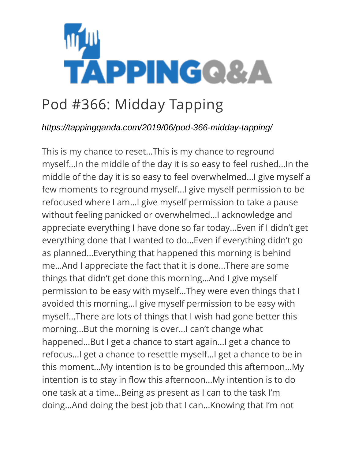

## Pod #366: Midday Tapping

## *https://tappingqanda.com/2019/06/pod-366-midday-tapping/*

This is my chance to reset…This is my chance to reground myself…In the middle of the day it is so easy to feel rushed…In the middle of the day it is so easy to feel overwhelmed…I give myself a few moments to reground myself…I give myself permission to be refocused where I am…I give myself permission to take a pause without feeling panicked or overwhelmed…I acknowledge and appreciate everything I have done so far today…Even if I didn't get everything done that I wanted to do…Even if everything didn't go as planned…Everything that happened this morning is behind me…And I appreciate the fact that it is done…There are some things that didn't get done this morning…And I give myself permission to be easy with myself…They were even things that I avoided this morning…I give myself permission to be easy with myself…There are lots of things that I wish had gone better this morning…But the morning is over…I can't change what happened…But I get a chance to start again…I get a chance to refocus…I get a chance to resettle myself…I get a chance to be in this moment…My intention is to be grounded this afternoon…My intention is to stay in flow this afternoon…My intention is to do one task at a time…Being as present as I can to the task I'm doing…And doing the best job that I can…Knowing that I'm not